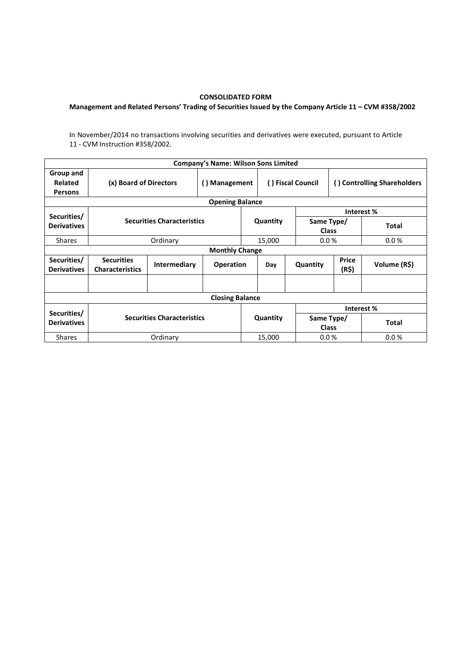## CONSOLIDATED FORM

## Management and Related Persons' Trading of Securities Issued by the Company Article 11 – CVM #358/2002

In November/2014 no transactions involving securities and derivatives were executed, pursuant to Article 11 - CVM Instruction #358/2002.

| <b>Company's Name: Wilson Sons Limited</b> |                                             |              |                  |          |                   |                            |                             |              |  |  |  |
|--------------------------------------------|---------------------------------------------|--------------|------------------|----------|-------------------|----------------------------|-----------------------------|--------------|--|--|--|
| Group and<br>Related<br><b>Persons</b>     | (x) Board of Directors                      |              | () Management    |          | () Fiscal Council |                            | () Controlling Shareholders |              |  |  |  |
| <b>Opening Balance</b>                     |                                             |              |                  |          |                   |                            |                             |              |  |  |  |
| Securities/                                | <b>Securities Characteristics</b>           |              |                  | Quantity |                   |                            | Interest %                  |              |  |  |  |
| <b>Derivatives</b>                         |                                             |              |                  |          |                   | Same Type/<br><b>Class</b> |                             | <b>Total</b> |  |  |  |
| <b>Shares</b>                              |                                             | Ordinary     |                  |          | 15,000            |                            | 0.0%                        | 0.0 %        |  |  |  |
| <b>Monthly Change</b>                      |                                             |              |                  |          |                   |                            |                             |              |  |  |  |
| Securities/<br><b>Derivatives</b>          | <b>Securities</b><br><b>Characteristics</b> | Intermediary | <b>Operation</b> |          | Day               | Quantity                   | Price<br>(R\$)              | Volume (R\$) |  |  |  |
|                                            |                                             |              |                  |          |                   |                            |                             |              |  |  |  |
| <b>Closing Balance</b>                     |                                             |              |                  |          |                   |                            |                             |              |  |  |  |
|                                            |                                             |              |                  |          |                   | Interest %                 |                             |              |  |  |  |
| Securities/<br><b>Derivatives</b>          | <b>Securities Characteristics</b>           |              |                  | Quantity |                   | Same Type/<br>Class        |                             | <b>Total</b> |  |  |  |
| <b>Shares</b>                              | Ordinary                                    |              |                  | 15,000   |                   | 0.0%                       |                             | 0.0%         |  |  |  |